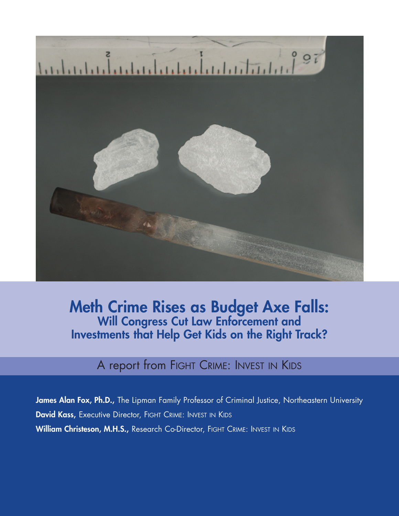

# **Meth Crime Rises as Budget Axe Falls: Will Congress Cut Law Enforcement and Investments that Help Get Kids on the Right Track?**

# A report from FIGHT CRIME: INVEST IN KIDS

James Alan Fox, Ph.D., The Lipman Family Professor of Criminal Justice, Northeastern University **David Kass, Executive Director, FIGHT CRIME: INVEST IN KIDS William Christeson, M.H.S.,** Research Co-Director, FIGHT CRIME: INVEST IN KIDS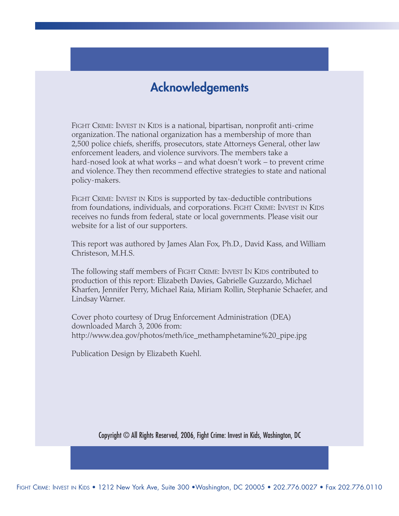# **Acknowledgements**

FIGHT CRIME: INVEST IN KIDS is a national, bipartisan, nonprofit anti-crime organization. The national organization has a membership of more than 2,500 police chiefs, sheriffs, prosecutors, state Attorneys General, other law enforcement leaders, and violence survivors. The members take a hard-nosed look at what works – and what doesn't work – to prevent crime and violence. They then recommend effective strategies to state and national policy-makers.

FIGHT CRIME: INVEST IN KIDS is supported by tax-deductible contributions from foundations, individuals, and corporations. FIGHT CRIME: INVEST IN KIDS receives no funds from federal, state or local governments. Please visit our website for a list of our supporters.

This report was authored by James Alan Fox, Ph.D., David Kass, and William Christeson, M.H.S.

The following staff members of FIGHT CRIME: INVEST IN KIDS contributed to production of this report: Elizabeth Davies, Gabrielle Guzzardo, Michael Kharfen, Jennifer Perry, Michael Raia, Miriam Rollin, Stephanie Schaefer, and Lindsay Warner.

Cover photo courtesy of Drug Enforcement Administration (DEA) downloaded March 3, 2006 from: http://www.dea.gov/photos/meth/ice\_methamphetamine%20\_pipe.jpg

Publication Design by Elizabeth Kuehl.

Copyright © All Rights Reserved, 2006, Fight Crime: Invest in Kids, Washington, DC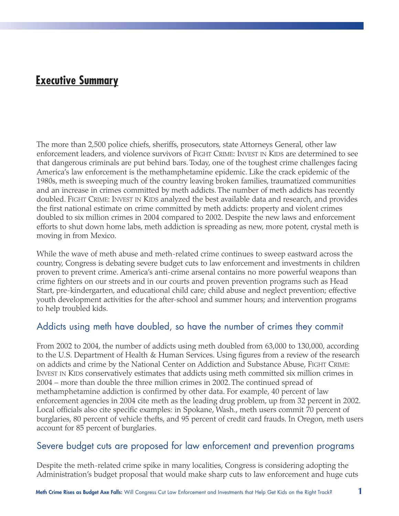# **Executive Summary**

The more than 2,500 police chiefs, sheriffs, prosecutors, state Attorneys General, other law enforcement leaders, and violence survivors of FIGHT CRIME: INVEST IN KIDS are determined to see that dangerous criminals are put behind bars. Today, one of the toughest crime challenges facing America's law enforcement is the methamphetamine epidemic. Like the crack epidemic of the 1980s, meth is sweeping much of the country leaving broken families, traumatized communities and an increase in crimes committed by meth addicts. The number of meth addicts has recently doubled. FIGHT CRIME: INVEST IN KIDS analyzed the best available data and research, and provides the first national estimate on crime committed by meth addicts: property and violent crimes doubled to six million crimes in 2004 compared to 2002. Despite the new laws and enforcement efforts to shut down home labs, meth addiction is spreading as new, more potent, crystal meth is moving in from Mexico.

While the wave of meth abuse and meth-related crime continues to sweep eastward across the country, Congress is debating severe budget cuts to law enforcement and investments in children proven to prevent crime. America's anti-crime arsenal contains no more powerful weapons than crime fighters on our streets and in our courts and proven prevention programs such as Head Start, pre-kindergarten, and educational child care; child abuse and neglect prevention; effective youth development activities for the after-school and summer hours; and intervention programs to help troubled kids.

# Addicts using meth have doubled, so have the number of crimes they commit

From 2002 to 2004, the number of addicts using meth doubled from 63,000 to 130,000, according to the U.S. Department of Health & Human Services. Using figures from a review of the research on addicts and crime by the National Center on Addiction and Substance Abuse, FIGHT CRIME: INVEST IN KIDS conservatively estimates that addicts using meth committed six million crimes in 2004 – more than double the three million crimes in 2002. The continued spread of methamphetamine addiction is confirmed by other data. For example, 40 percent of law enforcement agencies in 2004 cite meth as the leading drug problem, up from 32 percent in 2002. Local officials also cite specific examples: in Spokane, Wash., meth users commit 70 percent of burglaries, 80 percent of vehicle thefts, and 95 percent of credit card frauds. In Oregon, meth users account for 85 percent of burglaries.

# Severe budget cuts are proposed for law enforcement and prevention programs

Despite the meth-related crime spike in many localities, Congress is considering adopting the Administration's budget proposal that would make sharp cuts to law enforcement and huge cuts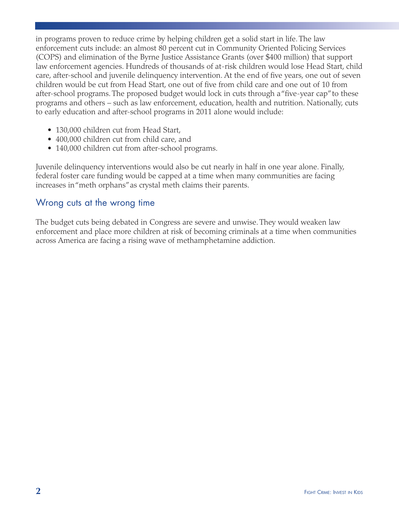in programs proven to reduce crime by helping children get a solid start in life. The law enforcement cuts include: an almost 80 percent cut in Community Oriented Policing Services (COPS) and elimination of the Byrne Justice Assistance Grants (over \$400 million) that support law enforcement agencies. Hundreds of thousands of at-risk children would lose Head Start, child care, after-school and juvenile delinquency intervention. At the end of five years, one out of seven children would be cut from Head Start, one out of five from child care and one out of 10 from after-school programs. The proposed budget would lock in cuts through a "five-year cap"to these programs and others – such as law enforcement, education, health and nutrition. Nationally, cuts to early education and after-school programs in 2011 alone would include:

- 130,000 children cut from Head Start,
- 400,000 children cut from child care, and
- 140,000 children cut from after-school programs.

Juvenile delinquency interventions would also be cut nearly in half in one year alone. Finally, federal foster care funding would be capped at a time when many communities are facing increases in "meth orphans"as crystal meth claims their parents.

# Wrong cuts at the wrong time

The budget cuts being debated in Congress are severe and unwise. They would weaken law enforcement and place more children at risk of becoming criminals at a time when communities across America are facing a rising wave of methamphetamine addiction.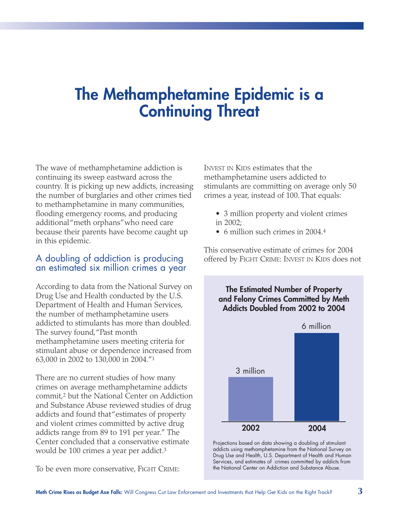# **The Methamphetamine Epidemic is a Continuing Threat**

The wave of methamphetamine addiction is continuing its sweep eastward across the country. It is picking up new addicts, increasing the number of burglaries and other crimes tied to methamphetamine in many communities, flooding emergency rooms, and producing additional "meth orphans"who need care because their parents have become caught up in this epidemic.

# A doubling of addiction is producing an estimated six million crimes a year

According to data from the National Survey on Drug Use and Health conducted by the U.S. Department of Health and Human Services, the number of methamphetamine users addicted to stimulants has more than doubled. The survey found,"Past month methamphetamine users meeting criteria for stimulant abuse or dependence increased from 63,000 in 2002 to 130,000 in 2004."1

There are no current studies of how many crimes on average methamphetamine addicts commit,2 but the National Center on Addiction and Substance Abuse reviewed studies of drug addicts and found that "estimates of property and violent crimes committed by active drug addicts range from 89 to 191 per year." The Center concluded that a conservative estimate would be 100 crimes a year per addict.3

To be even more conservative, FIGHT CRIME:

INVEST IN KIDS estimates that the methamphetamine users addicted to stimulants are committing on average only 50 crimes a year, instead of 100. That equals:

- 3 million property and violent crimes in 2002;
- 6 million such crimes in 2004.4

This conservative estimate of crimes for 2004 offered by FIGHT CRIME: INVEST IN KIDS does not





Projections based on data showing a doubling of stimulant addicts using methamphetamine from the National Survey on Drug Use and Health, U.S. Department of Health and Human Services, and estimates of crimes committed by addicts from the National Center on Addiction and Substance Abuse.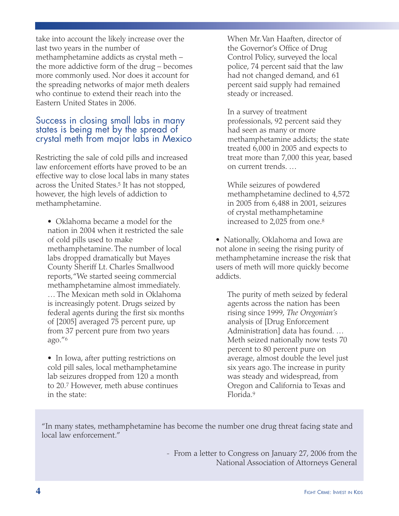take into account the likely increase over the last two years in the number of methamphetamine addicts as crystal meth – the more addictive form of the drug – becomes more commonly used. Nor does it account for the spreading networks of major meth dealers who continue to extend their reach into the Eastern United States in 2006.

### Success in closing small labs in many states is being met by the spread of crystal meth from major labs in Mexico

Restricting the sale of cold pills and increased law enforcement efforts have proved to be an effective way to close local labs in many states across the United States.<sup>5</sup> It has not stopped, however, the high levels of addiction to methamphetamine.

• Oklahoma became a model for the nation in 2004 when it restricted the sale of cold pills used to make methamphetamine. The number of local labs dropped dramatically but Mayes County Sheriff Lt. Charles Smallwood reports,"We started seeing commercial methamphetamine almost immediately. … The Mexican meth sold in Oklahoma is increasingly potent. Drugs seized by federal agents during the first six months of [2005] averaged 75 percent pure, up from 37 percent pure from two years ago."6

• In Iowa, after putting restrictions on cold pill sales, local methamphetamine lab seizures dropped from 120 a month to 20.7 However, meth abuse continues in the state:

When Mr.Van Haaften, director of the Governor's Office of Drug Control Policy, surveyed the local police, 74 percent said that the law had not changed demand, and 61 percent said supply had remained steady or increased.

In a survey of treatment professionals, 92 percent said they had seen as many or more methamphetamine addicts; the state treated 6,000 in 2005 and expects to treat more than 7,000 this year, based on current trends. …

While seizures of powdered methamphetamine declined to 4,572 in 2005 from 6,488 in 2001, seizures of crystal methamphetamine increased to 2,025 from one.8

• Nationally, Oklahoma and Iowa are not alone in seeing the rising purity of methamphetamine increase the risk that users of meth will more quickly become addicts.

The purity of meth seized by federal agents across the nation has been rising since 1999, *The Oregonian's* analysis of [Drug Enforcement Administration] data has found. … Meth seized nationally now tests 70 percent to 80 percent pure on average, almost double the level just six years ago. The increase in purity was steady and widespread, from Oregon and California to Texas and Florida.9

"In many states, methamphetamine has become the number one drug threat facing state and local law enforcement."

> - From a letter to Congress on January 27, 2006 from the National Association of Attorneys General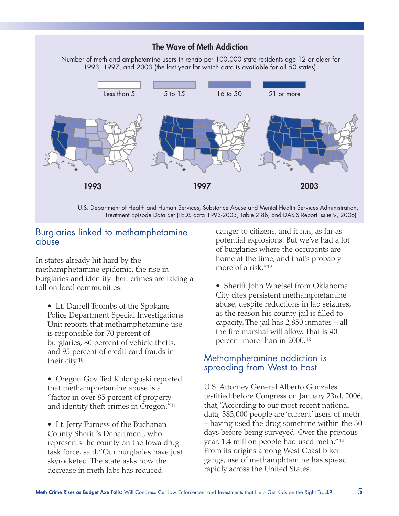#### **The Wave of Meth Addiction**

Number of meth and amphetamine users in rehab per 100,000 state residents age 12 or older for 1993, 1997, and 2003 (the last year for which data is available for all 50 states).



U.S. Department of Health and Human Services, Substance Abuse and Mental Health Services Administration, Treatment Episode Data Set (TEDS data 1993-2003, Table 2.8b, and DASIS Report Issue 9, 2006)

#### Burglaries linked to methamphetamine abuse

In states already hit hard by the methamphetamine epidemic, the rise in burglaries and identity theft crimes are taking a toll on local communities:

• Lt. Darrell Toombs of the Spokane Police Department Special Investigations Unit reports that methamphetamine use is responsible for 70 percent of burglaries, 80 percent of vehicle thefts, and 95 percent of credit card frauds in their city.10

• Oregon Gov. Ted Kulongoski reported that methamphetamine abuse is a "factor in over 85 percent of property and identity theft crimes in Oregon."11

• Lt. Jerry Furness of the Buchanan County Sheriff's Department, who represents the county on the Iowa drug task force, said,"Our burglaries have just skyrocketed. The state asks how the decrease in meth labs has reduced

danger to citizens, and it has, as far as potential explosions. But we've had a lot of burglaries where the occupants are home at the time, and that's probably more of a risk."12

• Sheriff John Whetsel from Oklahoma City cites persistent methamphetamine abuse, despite reductions in lab seizures, as the reason his county jail is filled to capacity. The jail has 2,850 inmates – all the fire marshal will allow. That is 40 percent more than in 2000.13

# Methamphetamine addiction is spreading from West to East

U.S. Attorney General Alberto Gonzales testified before Congress on January 23rd, 2006, that,"According to our most recent national data, 583,000 people are 'current' users of meth – having used the drug sometime within the 30 days before being surveyed. Over the previous year, 1.4 million people had used meth."14 From its origins among West Coast biker gangs, use of methamphtamine has spread rapidly across the United States.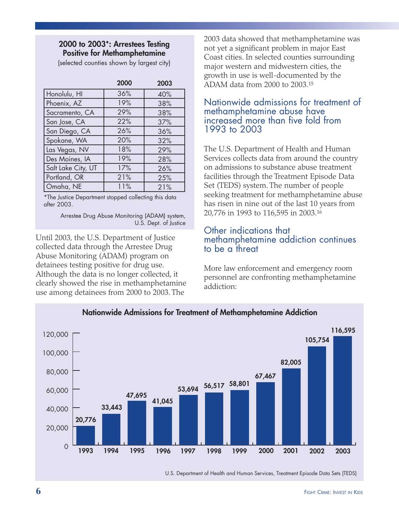# **2000 to 2003\*: Arrestees Testing Positive for Methamphetamine**

(selected counties shown by largest city)

|                    | 2000 | 2003 |
|--------------------|------|------|
| Honolulu, HI       | 36%  | 40%  |
| Phoenix, AZ        | 19%  | 38%  |
| Sacramento, CA     | 29%  | 38%  |
| San Jose, CA       | 22%  | 37%  |
| San Diego, CA      | 26%  | 36%  |
| Spokane, WA        | 20%  | 32%  |
| Las Vegas, NV      | 18%  | 29%  |
| Des Moines, IA     | 19%  | 28%  |
| Salt Lake City, UT | 17%  | 26%  |
| Portland, OR       | 21%  | 25%  |
| Omaha, NE          | 11%  | 21%  |

\*The Justice Department stopped collecting this data after 2003.

> Arrestee Drug Abuse Monitoring (ADAM) system, U.S. Dept. of Justice

Until 2003, the U.S. Department of Justice collected data through the Arrestee Drug Abuse Monitoring (ADAM) program on detainees testing positive for drug use. Although the data is no longer collected, it clearly showed the rise in methamphetamine use among detainees from 2000 to 2003. The

2003 data showed that methamphetamine was not yet a significant problem in major East Coast cities. In selected counties surrounding major western and midwestern cities, the growth in use is well-documented by the ADAM data from 2000 to 2003.15

### Nationwide admissions for treatment of methamphetamine abuse have increased more than five fold from 1993 to 2003

The U.S. Department of Health and Human Services collects data from around the country on admissions to substance abuse treatment facilities through the Treatment Episode Data Set (TEDS) system. The number of people seeking treatment for methamphetamine abuse has risen in nine out of the last 10 years from 20,776 in 1993 to 116,595 in 2003.16

# Other indications that methamphetamine addiction continues to be a threat

More law enforcement and emergency room personnel are confronting methamphetamine addiction:



### **Nationwide Admissions for Treatment of Methamphetamine Addiction**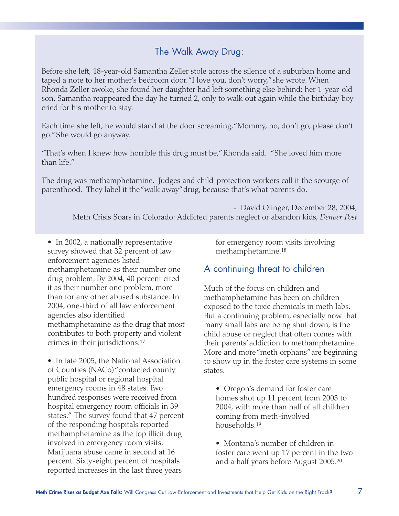# The Walk Away Drug:

Before she left, 18-year-old Samantha Zeller stole across the silence of a suburban home and taped a note to her mother's bedroom door."I love you, don't worry,"she wrote. When Rhonda Zeller awoke, she found her daughter had left something else behind: her 1-year-old son. Samantha reappeared the day he turned 2, only to walk out again while the birthday boy cried for his mother to stay.

Each time she left, he would stand at the door screaming,"Mommy, no, don't go, please don't go."She would go anyway.

"That's when I knew how horrible this drug must be,"Rhonda said. "She loved him more than life."

The drug was methamphetamine. Judges and child-protection workers call it the scourge of parenthood. They label it the "walk away"drug, because that's what parents do.

> - David Olinger, December 28, 2004, Meth Crisis Soars in Colorado: Addicted parents neglect or abandon kids, *Denver Post*

• In 2002, a nationally representative survey showed that 32 percent of law enforcement agencies listed methamphetamine as their number one drug problem. By 2004, 40 percent cited it as their number one problem, more than for any other abused substance. In 2004, one-third of all law enforcement agencies also identified methamphetamine as the drug that most contributes to both property and violent crimes in their jurisdictions.17

• In late 2005, the National Association of Counties (NACo) "contacted county public hospital or regional hospital emergency rooms in 48 states. Two hundred responses were received from hospital emergency room officials in 39 states." The survey found that 47 percent of the responding hospitals reported methamphetamine as the top illicit drug involved in emergency room visits. Marijuana abuse came in second at 16 percent. Sixty-eight percent of hospitals reported increases in the last three years

for emergency room visits involving methamphetamine.18

# A continuing threat to children

Much of the focus on children and methamphetamine has been on children exposed to the toxic chemicals in meth labs. But a continuing problem, especially now that many small labs are being shut down, is the child abuse or neglect that often comes with their parents' addiction to methamphetamine. More and more "meth orphans"are beginning to show up in the foster care systems in some states.

• Oregon's demand for foster care homes shot up 11 percent from 2003 to 2004, with more than half of all children coming from meth-involved households.19

• Montana's number of children in foster care went up 17 percent in the two and a half years before August 2005.20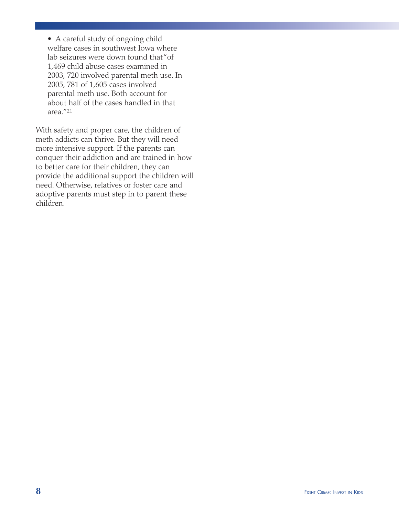• A careful study of ongoing child welfare cases in southwest Iowa where lab seizures were down found that "of 1,469 child abuse cases examined in 2003, 720 involved parental meth use. In 2005, 781 of 1,605 cases involved parental meth use. Both account for about half of the cases handled in that area."21

With safety and proper care, the children of meth addicts can thrive. But they will need more intensive support. If the parents can conquer their addiction and are trained in how to better care for their children, they can provide the additional support the children will need. Otherwise, relatives or foster care and adoptive parents must step in to parent these children.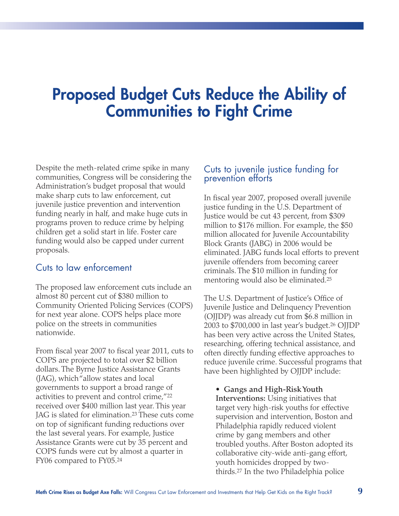# **Proposed Budget Cuts Reduce the Ability of Communities to Fight Crime**

Despite the meth-related crime spike in many communities, Congress will be considering the Administration's budget proposal that would make sharp cuts to law enforcement, cut juvenile justice prevention and intervention funding nearly in half, and make huge cuts in programs proven to reduce crime by helping children get a solid start in life. Foster care funding would also be capped under current proposals.

# Cuts to law enforcement

The proposed law enforcement cuts include an almost 80 percent cut of \$380 million to Community Oriented Policing Services (COPS) for next year alone. COPS helps place more police on the streets in communities nationwide.

From fiscal year 2007 to fiscal year 2011, cuts to COPS are projected to total over \$2 billion dollars. The Byrne Justice Assistance Grants (JAG), which "allow states and local governments to support a broad range of activities to prevent and control crime,"22 received over \$400 million last year. This year JAG is slated for elimination.23 These cuts come on top of significant funding reductions over the last several years. For example, Justice Assistance Grants were cut by 35 percent and COPS funds were cut by almost a quarter in FY06 compared to FY05.24

# Cuts to juvenile justice funding for prevention efforts

In fiscal year 2007, proposed overall juvenile justice funding in the U.S. Department of Justice would be cut 43 percent, from \$309 million to \$176 million. For example, the \$50 million allocated for Juvenile Accountability Block Grants (JABG) in 2006 would be eliminated. JABG funds local efforts to prevent juvenile offenders from becoming career criminals. The \$10 million in funding for mentoring would also be eliminated.25

The U.S. Department of Justice's Office of Juvenile Justice and Delinquency Prevention (OJJDP) was already cut from \$6.8 million in 2003 to  $$700,000$  in last year's budget.<sup>26</sup> OJJDP has been very active across the United States, researching, offering technical assistance, and often directly funding effective approaches to reduce juvenile crime. Successful programs that have been highlighted by OJJDP include:

• **Gangs and High-Risk Youth Interventions:** Using initiatives that target very high-risk youths for effective supervision and intervention, Boston and Philadelphia rapidly reduced violent crime by gang members and other troubled youths. After Boston adopted its collaborative city-wide anti-gang effort, youth homicides dropped by twothirds.27 In the two Philadelphia police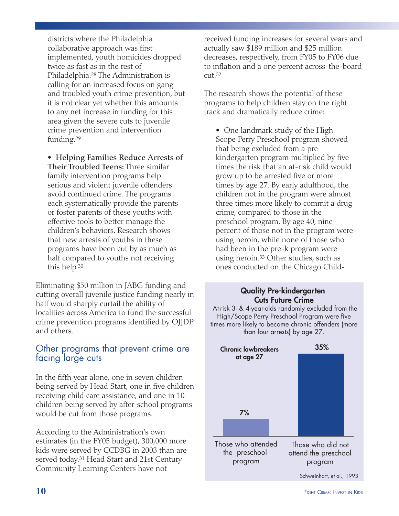districts where the Philadelphia collaborative approach was first implemented, youth homicides dropped twice as fast as in the rest of Philadelphia.28 The Administration is calling for an increased focus on gang and troubled youth crime prevention, but it is not clear yet whether this amounts to any net increase in funding for this area given the severe cuts to juvenile crime prevention and intervention funding.29

• **Helping Families Reduce Arrests of Their Troubled Teens:** Three similar family intervention programs help serious and violent juvenile offenders avoid continued crime. The programs each systematically provide the parents or foster parents of these youths with effective tools to better manage the children's behaviors. Research shows that new arrests of youths in these programs have been cut by as much as half compared to youths not receiving this help.30

Eliminating \$50 million in JABG funding and cutting overall juvenile justice funding nearly in half would sharply curtail the ability of localities across America to fund the successful crime prevention programs identified by OJJDP and others.

# Other programs that prevent crime are facing large cuts

In the fifth year alone, one in seven children being served by Head Start, one in five children receiving child care assistance, and one in 10 children being served by after-school programs would be cut from those programs.

According to the Administration's own estimates (in the FY05 budget), 300,000 more kids were served by CCDBG in 2003 than are served today.31 Head Start and 21st Century Community Learning Centers have not

received funding increases for several years and actually saw \$189 million and \$25 million decreases, respectively, from FY05 to FY06 due to inflation and a one percent across-the-board cut.32

The research shows the potential of these programs to help children stay on the right track and dramatically reduce crime:

• One landmark study of the High Scope Perry Preschool program showed that being excluded from a prekindergarten program multiplied by five times the risk that an at-risk child would grow up to be arrested five or more times by age 27. By early adulthood, the children not in the program were almost three times more likely to commit a drug crime, compared to those in the preschool program. By age 40, nine percent of those not in the program were using heroin, while none of those who had been in the pre-k program were using heroin.33 Other studies, such as ones conducted on the Chicago Child-

#### **Quality Pre-kindergarten Cuts Future Crime**

 At-risk 3- & 4-year-olds randomly excluded from the High/Scope Perry Preschool Program were five times more likely to become chronic offenders (more than four arrests) by age 27.

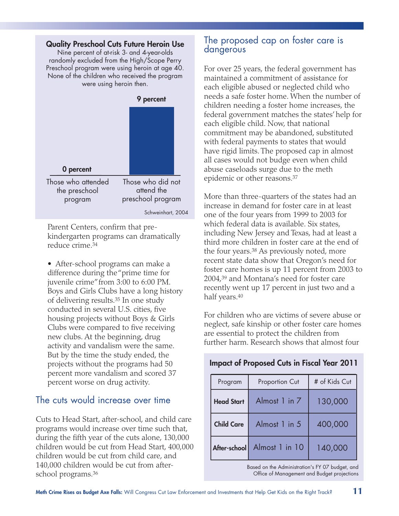#### **Quality Preschool Cuts Future Heroin Use**

Nine percent of at-risk 3- and 4-year-olds randomly excluded from the High/Scope Perry Preschool program were using heroin at age 40. None of the children who received the program were using heroin then.



Parent Centers, confirm that prekindergarten programs can dramatically reduce crime.34

• After-school programs can make a difference during the "prime time for juvenile crime"from 3:00 to 6:00 PM. Boys and Girls Clubs have a long history of delivering results.35 In one study conducted in several U.S. cities, five housing projects without Boys & Girls Clubs were compared to five receiving new clubs. At the beginning, drug activity and vandalism were the same. But by the time the study ended, the projects without the programs had 50 percent more vandalism and scored 37 percent worse on drug activity.

# The cuts would increase over time

Cuts to Head Start, after-school, and child care programs would increase over time such that, during the fifth year of the cuts alone, 130,000 children would be cut from Head Start, 400,000 children would be cut from child care, and 140,000 children would be cut from afterschool programs.36

# The proposed cap on foster care is dangerous

For over 25 years, the federal government has maintained a commitment of assistance for each eligible abused or neglected child who needs a safe foster home. When the number of children needing a foster home increases, the federal government matches the states' help for each eligible child. Now, that national commitment may be abandoned, substituted with federal payments to states that would have rigid limits. The proposed cap in almost all cases would not budge even when child abuse caseloads surge due to the meth epidemic or other reasons.37

More than three-quarters of the states had an increase in demand for foster care in at least one of the four years from 1999 to 2003 for which federal data is available. Six states, including New Jersey and Texas, had at least a third more children in foster care at the end of the four years.38 As previously noted, more recent state data show that Oregon's need for foster care homes is up 11 percent from 2003 to 2004,39 and Montana's need for foster care recently went up 17 percent in just two and a half years.<sup>40</sup>

For children who are victims of severe abuse or neglect, safe kinship or other foster care homes are essential to protect the children from further harm. Research shows that almost four

### **Impact of Proposed Cuts in Fiscal Year 2011**

| oster care homes is up 11 percent from 2003 t<br>004, <sup>39</sup> and Montana's need for foster care<br>ecently went up 17 percent in just two and a<br>alf years.40                                                                             |                   |                             |               |  |
|----------------------------------------------------------------------------------------------------------------------------------------------------------------------------------------------------------------------------------------------------|-------------------|-----------------------------|---------------|--|
| or children who are victims of severe abuse o<br>eglect, safe kinship or other foster care home<br>re essential to protect the children from<br>urther harm. Research shows that almost four<br><b>Impact of Proposed Cuts in Fiscal Year 2011</b> |                   |                             |               |  |
|                                                                                                                                                                                                                                                    | Program           | Proportion Cut              | # of Kids Cut |  |
|                                                                                                                                                                                                                                                    | <b>Head Start</b> | Almost 1 in 7               | 130,000       |  |
|                                                                                                                                                                                                                                                    | <b>Child Care</b> | Almost 1 in 5               | 400,000       |  |
|                                                                                                                                                                                                                                                    |                   | After-school Almost 1 in 10 | 140,000       |  |

Based on the Administration's FY 07 budget, and Office of Management and Budget projections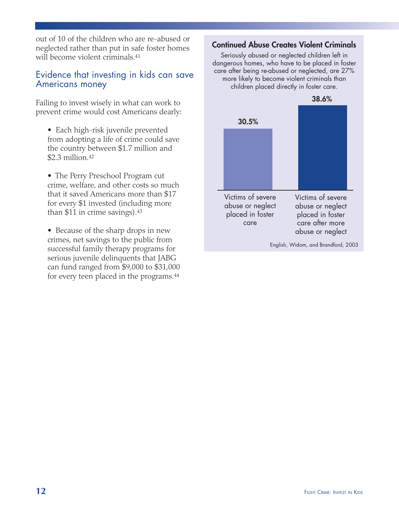out of 10 of the children who are re-abused or neglected rather than put in safe foster homes will become violent criminals.<sup>41</sup>

# Evidence that investing in kids can save Americans money

Failing to invest wisely in what can work to prevent crime would cost Americans dearly:

• Each high-risk juvenile prevented from adopting a life of crime could save the country between \$1.7 million and \$2.3 million.42

• The Perry Preschool Program cut crime, welfare, and other costs so much that it saved Americans more than \$17 for every \$1 invested (including more than \$11 in crime savings).43

• Because of the sharp drops in new crimes, net savings to the public from successful family therapy programs for serious juvenile delinquents that JABG can fund ranged from \$9,000 to \$31,000 for every teen placed in the programs.<sup>44</sup>

#### **Continued Abuse Creates Violent Criminals**

Seriously abused or neglected children left in dangerous homes, who have to be placed in foster care after being re-abused or neglected, are 27% more likely to become violent criminals than children placed directly in foster care.

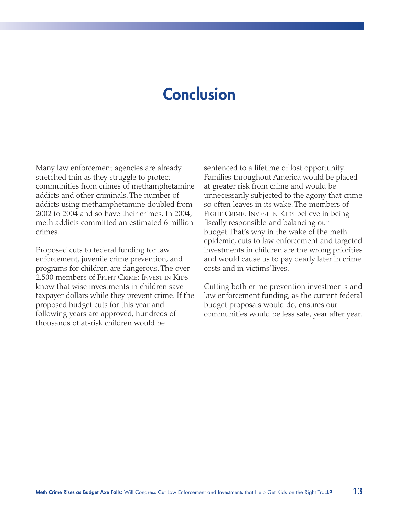# **Conclusion**

Many law enforcement agencies are already stretched thin as they struggle to protect communities from crimes of methamphetamine addicts and other criminals. The number of addicts using methamphetamine doubled from 2002 to 2004 and so have their crimes. In 2004, meth addicts committed an estimated 6 million crimes.

Proposed cuts to federal funding for law enforcement, juvenile crime prevention, and programs for children are dangerous. The over 2,500 members of FIGHT CRIME: INVEST IN KIDS know that wise investments in children save taxpayer dollars while they prevent crime. If the proposed budget cuts for this year and following years are approved, hundreds of thousands of at-risk children would be

sentenced to a lifetime of lost opportunity. Families throughout America would be placed at greater risk from crime and would be unnecessarily subjected to the agony that crime so often leaves in its wake. The members of FIGHT CRIME: INVEST IN KIDS believe in being fiscally responsible and balancing our budget.That's why in the wake of the meth epidemic, cuts to law enforcement and targeted investments in children are the wrong priorities and would cause us to pay dearly later in crime costs and in victims' lives.

Cutting both crime prevention investments and law enforcement funding, as the current federal budget proposals would do, ensures our communities would be less safe, year after year.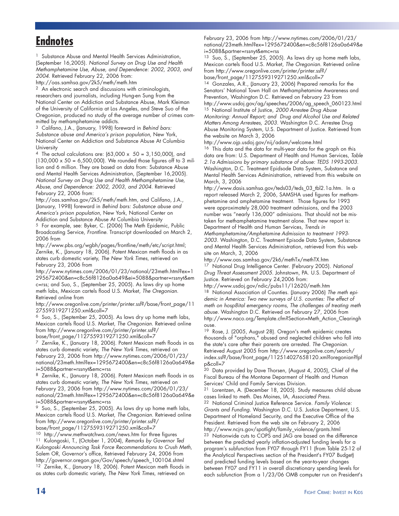# **Endnotes**

<sup>1</sup> Substance Abuse and Mental Health Services Administration, (September 16,2005). National Survey on Drug Use and Health Methamphetamine Use, Abuse, and Dependence: 2002, 2003, and 2004. Retrieved February 22, 2006 from:

http://oas.samhsa.gov/2k5/meth/meth.htm

2 An electronic search and discussions with criminologists, researchers and journalists, including Hung-en Sung from the National Center on Addiction and Substance Abuse, Mark Kleiman of the University of California at Los Angeles, and Steve Suo of the Oregonian, produced no study of the average number of crimes committed by methamphetamine addicts.

3 Califano, J.A., (January, 1998) foreward in Behind bars: Substance abuse and America's prison population, New York, National Center on Addiction and Substance Abuse At Columbia **University** 

<sup>4</sup> The actual calculations are:  $(63,000 \times 50 = 3,150,000)$ , and  $(130,000 \times 50 = 6,500,000)$ . We rounded those figures off to 3 million and 6 million. They are based on data from: Substance Abuse and Mental Health Services Administration, (September 16,2005). National Survey on Drug Use and Health Methamphetamine Use, Abuse, and Dependence: 2002, 2003, and 2004. Retrieved February 22, 2006 from:

http://oas.samhsa.gov/2k5/meth/meth.htm, and Califano, J.A., (January, 1998) foreward in Behind bars: Substance abuse and America's prison population, New York, National Center on Addiction and Substance Abuse At Columbia University

5 For example, see: Byker, C. (2006) The Meth Epidemic, Public Broadcasting Service, Frontline. Transcript downloaded on March 2, 2006 from

http://www.pbs.org/wgbh/pages/frontline/meth/etc/script.html; Zernike, K., (January 18, 2006). Potent Mexican meth floods in as states curb domestic variety, The New York Times, retrieved on February 23, 2006 from

http://www.nytimes.com/2006/01/23/national/23meth.html?ex=1 295672400&en=c8c56f8126a0a649&ei=5088&partner=rssnyt&em c=rss; and Suo, S., (September 25, 2005). As laws dry up home meth labs, Mexican cartels flood U.S. Market, The Oregonian. Retrieved online from

http://www.oregonlive.com/printer/printer.ssf?/base/front\_page/11 27559319271250.xml&coll=7

6 Suo, S., (September 25, 2005). As laws dry up home meth labs, Mexican cartels flood U.S. Market, The Oregonian. Retrieved online from http://www.oregonlive.com/printer/printer.ssf?/ base/front\_page/1127559319271250.xml&coll=7

7 Zernike, K., (January 18, 2006). Potent Mexican meth floods in as states curb domestic variety, The New York Times, retrieved on February 23, 2006 from http://www.nytimes.com/2006/01/23/ national/23meth.html?ex=1295672400&en=c8c56f8126a0a649&e i=5088&partner=rssnyt&emc=rss

8 Zernike, K., (January 18, 2006). Potent Mexican meth floods in as states curb domestic variety, The New York Times, retrieved on February 23, 2006 from http://www.nytimes.com/2006/01/23/ national/23meth.html?ex=1295672400&en=c8c56f8126a0a649&e i=5088&partner=rssnyt&emc=rss

9 Suo, S., (September 25, 2005). As laws dry up home meth labs, Mexican cartels flood U.S. Market, The Oregonian. Retrieved online from http://www.oregonlive.com/printer/printer.ssf?/ base/front\_page/1127559319271250.xml&coll=7

10 http://www.methwatchwa.com/news.htm for three figures 11 Kulongoski, T., (October 1, 2004), Remarks by Governor Ted Kulongoski Announcing Task Force Recommendations to Crush Meth, Salem OR, Governor's office, Retrieved February 24, 2006 from http://governor.oregon.gov/Gov/speech/speech\_100104.shtml 12 Zernike, K., (January 18, 2006). Potent Mexican meth floods in as states curb domestic variety, The New York Times, retrieved on

February 23, 2006 from http://www.nytimes.com/2006/01/23/ national/23meth.html?ex=1295672400&en=c8c56f8126a0a649&e i=5088&partner=rssnyt&emc=rss

13 Suo, S., (September 25, 2005). As laws dry up home meth labs, Mexican cartels flood U.S. Market, The Oregonian. Retrieved online from http://www.oregonlive.com/printer/printer.ssf?/ base/front\_page/1127559319271250.xml&coll=7

14 Gonzales, A.R., (January 23, 2006) Prepared remarks for the Senators' National Town Hall on Methamphetamine Awareness and Prevention, Washington D.C. Retrieved on February 23 from http://www.usdoj.gov/ag/speeches/2006/ag\_speech\_060123.html <sup>15</sup> National Institute of Justice, 2000 Arrestee Drug Abuse Monitoring: Annual Report; and Drug and Alcohol Use and Related Matters Among Arrestees, 2003. Washington D.C. Arrestee Drug Abuse Monitoring System, U.S. Department of Justice. Retrieved from the website on March 3, 2006

http://www.ojp.usdoj.gov/nij/adam/welcome.html <sup>16</sup> This data and the data for multi-year data for the graph on this data are from: U.S. Department of Health and Human Services, Table 2.1a Admissions by primary substance of abuse: TEDS 1993-2003. Washington, D.C. Treatment Epidsode Data System, Substance and Mental Health Services Administration, retrieved from this website on March, 3, 2006

http://www.dasis.samhsa.gov/teds03/teds\_03\_tbl2.1a.htm. In a report released March 2, 2006, SAMSHA used figures for methamphetamine and amphetamine treatment. Those figures for 1993 were approximately 28,000 treatment admissions, and the 2003 number was "nearly 136,000" admissions. That should not be mistaken for methamphetamine treatment alone. That new report is: Department of Health and Human Services, Trends in

Methamphetamine/Amphetamine Admission to treatment 1993- 2003. Washington, D.C. Treatment Episode Data System, Substance and Mental Health Services Administration, retrieved from this website on March, 3, 2006

http://www.oas.samhsa.gov/2k6/methTx/methTX.htm

<sup>17</sup> National Drug Intelligence Center. (February 2005). National Drug Threat Assessment 2005. Johnstown, PA. U.S. Department of Justice. Retrieved on February 24,2006 from:

http://www.usdoj.gov/ndic/pubs11/12620/meth.htm 18 National Association of Counties. (January 2006) The meth epidemic in America: Two new surveys of U.S. counties: The effect of meth on hosp8ital emergency rooms, The challenges of treating meth abuse. Washington D.C. Retrieved on February 27, 2006 from http://www.naco.org/Template.cfm?Section=Meth\_Action\_Clearingh ouse.

19 Rose, J. (2005, August 28). Oregon's meth epidemic creates thousands of "orphans," abused and neglected children who fall into the state's care after their parents are arrested. The Oregonian. Retrieved August 2005 from http://www.oregonlive.com/search/ index.ssf?/base/front\_page/112514027658120.xml?oregonian?fpf p&coll=7

20 Data provided by Dave Thorsen, (August 4, 2005), Chief of the Fiscal Bureau of the Montane Deparment of Health and Human Services' Child and Family Services Division.

21 Lorentzen, A. (December 18, 2005). Study measures child abuse cases linked to meth. Des Moines, IA, Associated Press.

22 National Criminal Justice Reference Service. Family Violence: Grants and Funding. Washington D.C. U.S. Justice Department, U.S. Department of Homeland Security, and the Executive Office of the President. Retrieved from the web site on February 2, 2006 http://www.ncjrs.gov/spotlight/family\_violence/grants.html 23 Nationwide cuts to COPS and JAG are based on the difference between the predicted yearly inflation-adjusted funding levels for a program's subfunction from FY07 through FY11 (from Table 25-12 of

the Analytical Perspectives section of the President's FY07 Budget) and predicted funding levels based on the year-to-year changes between FY07 and FY11 in overall discretionary spending levels for each subfunction (from a 1/23/06 OMB computer run on President's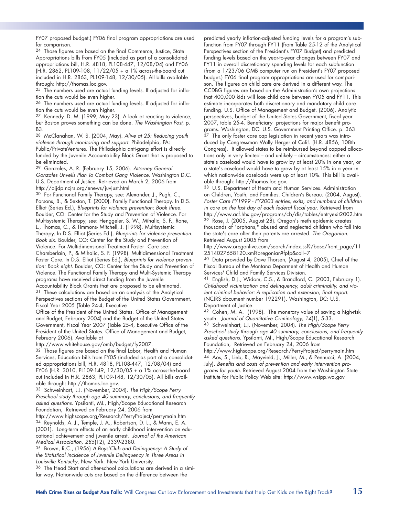FY07 proposed budget.) FY06 final program appropriations are used for comparison.

24 Those figures are based on the final Commerce, Justice, State Appropriations bills from FY05 (included as part of a consolidated appropriations bill, H.R. 4818, PL108-447, 12/08/04) and FY06 (H.R. 2862, PL109-108, 11/22/05 + a 1% across-the-board cut included in H.R. 2863, PL109-148, 12/30/05). All bills available through: http://thomas.loc.gov.

25 The numbers used are actual funding levels. If adjusted for inflation the cuts would be even higher.

26 The numbers used are actual funding levels. If adjusted for inflation the cuts would be even higher.

27 Kennedy. D. M. (1999, May 23). A look at reacting to violence, but Boston proves something can be done. The Washington Post, p.  $B<sub>3</sub>$ 

28 McClanahan, W. S. (2004, May). Alive at 25: Reducing youth violence through monitoring and support. Philadelphia, PA: Public/PrivateVentures. The Philadephia anti-gang effort is directly funded by the Juvenile Accountability Block Grant that is proposed to be eliminated.

29 Gonzales, A. R. (February 15, 2006). Attorney General Gonzales Unveils Plan To Combat Gang Violence. Washington D.C. U.S. Department of Justice. Retrieved on March 2, 2006 from http://ojjdp.ncjrs.org/enews/juvjust.html

30 For Functional Family Therapy, see: Alexander, J., Pugh, C., Parsons, B., & Sexton, T. (2000). Family Functional Therapy. In D.S. Elliot (Series Ed.), Blueprints for violence prevention: Book three. Boulder, CO: Center for the Study and Prevention of Violence. For Multisystemic Therapy, see: Henggeler, S. W., Mihalic, S. F., Rone, L., Thomas, C., & Timmons- Mitchell, J. (1998). Multisystemic Therapy. In D.S. Elliot (Series Ed.), Blueprints for violence prevention: Book six. Boulder, CO: Center for the Study and Prevention of Violence. For Multidimensional Treatment Foster Care see: Chamberlain, P., & Mihalic, S. F. (1998). Multidimensional Treatment Foster Care. In D.S. Elliot (Series Ed.), Blueprints for violence prevention: Book eight. Boulder, CO: Center for the Study and Prevention of Violence. The Functional Family Therapy and Multi-Systemic Therapy programs have received direct funding from the Juvenile Accountability Block Grants that are proposed to be eliminated. 31 These calculations are based on an analysis of the Analytical

Perspectives sections of the Budget of the United States Government, Fiscal Year 2005 (Table 24-4, Executive

Office of the President of the United States. Office of Management and Budget, February 2004) and the Budget of the United States Government, Fiscal Year 2007 (Table 25-4, Executive Office of the President of the United States. Office of Management and Budget, February 2006). Available at

http://www.whitehouse.gov/omb/budget/fy2007.

32 Those figures are based on the final Labor, Health and Human Services, Education bills from FY05 (included as part of a consolidated appropriations bill, H.R. 4818, PL108-447, 12/08/04) and FY06 (H.R. 3010, PL109-149, 12/30/05 + a 1% across-the-board cut included in H.R. 2863, PL109-148, 12/30/05). All bills available through: http://thomas.loc.gov.

33 Schweinhart, L.J. (November, 2004). The High/Scope Perry Preschool study through age 40 summary, conclusions, and frequently asked questions. Ypsilanti, MI., High/Scope Educational Research Foundation, Retrieved on February 24, 2006 from

http://www.highscope.org/Research/PerryProject/perrymain.htm 34 Reynolds, A. J., Temple, J. A., Robertson, D. L., & Mann, E. A. (2001). Long-term effects of an early childhood intervention on educational achievement and juvenile arrest. Journal of the American Medical Association, 285(12), 2339-2380.

35 Brown, R.C., (1956) A Boys'Club and Delinquency: A Study of the Statistical Incidence of Juvenile Delinquency in Three Areas in Louisville Kentucky, New York: New York University. 36 The Head Start and after-school calculations are derived in a similar way. Nationwide cuts are based on the difference between the

predicted yearly inflation-adjusted funding levels for a program's subfunction from FY07 through FY11 (from Table 25-12 of the Analytical Perspectives section of the President's FY07 Budget) and predicted funding levels based on the year-to-year changes between FY07 and FY11 in overall discretionary spending levels for each subfunction (from a 1/23/06 OMB computer run on President's FY07 proposed budget.) FY06 final program appropriations are used for comparison. The figures on child care are derived in a different way. The CCDBG figures are based on the Administration's own projections that 400,000 kids will lose child care between FY05 and FY11. This estimate incorporates both discretionary and mandatory child care funding. U.S. Office of Management and Budget. (2006). Analytic perspectives, budget of the United States Government, fiscal year 2007, table 25-4. Beneficiary projections for major benefit programs. Washington, DC: U.S. Government Printing Office. p. 363. <sup>37</sup> The only foster care cap legislation in recent years was introduced by Congressman Wally Herger of Calif. (H.R. 4856, 108th Congress). It allowed states to be reimbursed beyond capped allocations only in very limited - and unlikely - circumstances: either a state's caseload would have to grow by at least 20% in one year, or a state's caseload would have to grow by at least 15% in a year in which nationwide caseloads were up at least 10%. This bill is available through: http://thomas.loc.gov.

38 U.S. Department of Heath and Human Services. Administration on Children, Youth, and Families. Children's Bureau. (2004, August). Foster Care FY1999 - FY2003 entries, exits, and numbers of children in care on the last day of each federal fiscal year. Retrieved from http://www.acf.hhs.gov/programs/cb/dis/tables/entryexit2002.htm 39 Rose, J. (2005, August 28). Oregon's meth epidemic creates thousands of "orphans," abused and neglected children who fall into the state's care after their parents are arrested. The Oregonian. Retrieved August 2005 from

http://www.oregonlive.com/search/index.ssf?/base/front\_page/11 2514027658120.xml?oregonian?fpfp&coll=7

40 Data provided by Dave Thorsen, (August 4, 2005), Chief of the Fiscal Bureau of the Montana Deparment of Health and Human Services' Child and Family Services Division.

41 English, D.J., Widom, C.S., & Brandford, C. (2003, February 1). Childhood victimization and delinquency, adult criminality, and violent criminal behavior: A replication and extension, final report. (NCJRS document number 192291). Washington, DC: U.S. Department of Justice.

42 Cohen, M. A. (1998). The monetary value of saving a high-risk youth. Journal of Quantitative Criminology, 14(1), 5-33. 43 Schweinhart, L.J. (November, 2004). The High/Scope Perry

Preschool study through age 40 summary, conclusions, and frequently asked questions. Ypsilanti, MI., High/Scope Educational Research Foundation, Retrieved on February 24, 2006 from

http://www.highscope.org/Research/PerryProject/perrymain.htm 44 Aos, S., Lieb, R., Mayvield, J., Miller, M., & Pennucci, A. (2004, July). Benefits and costs of prevention and early intervention programs for youth. Retrieved August 2004 from the Washington State Institute for Public Policy Web site: http://www.wsipp.wa.gov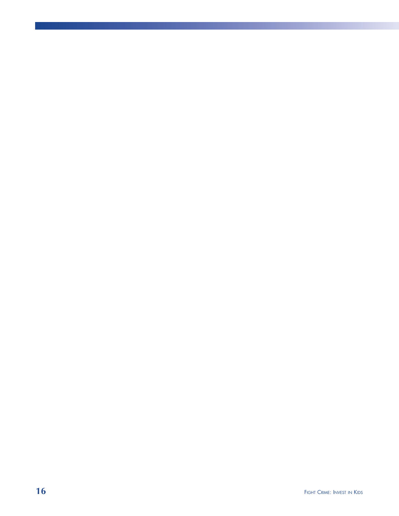# FIGHT CRIME: INVEST IN KIDS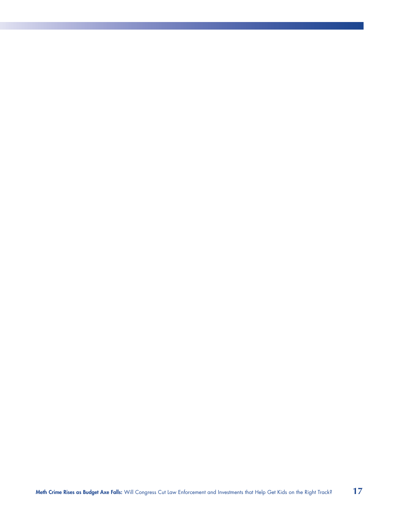**Meth Crime Rises as Budget Axe Falls:** Will Congress Cut Law Enforcement and Investments that Help Get Kids on the Right Track? **17**